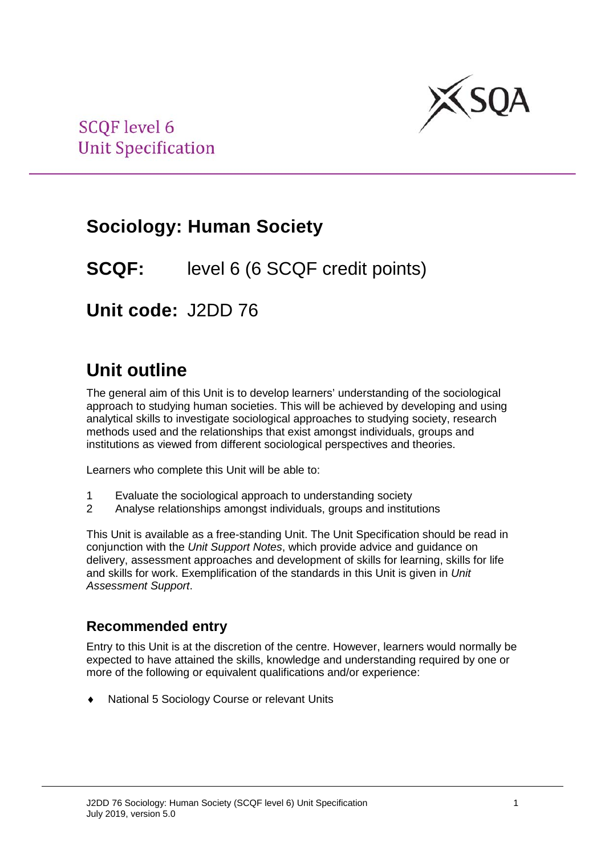

# **Sociology: Human Society**

## **SCQF:** level 6 (6 SCQF credit points)

**Unit code:** J2DD 76

# **Unit outline**

The general aim of this Unit is to develop learners' understanding of the sociological approach to studying human societies. This will be achieved by developing and using analytical skills to investigate sociological approaches to studying society, research methods used and the relationships that exist amongst individuals, groups and institutions as viewed from different sociological perspectives and theories.

Learners who complete this Unit will be able to:

- 1 Evaluate the sociological approach to understanding society<br>2 Analyse relationships amongst individuals, groups and institu
- 2 Analyse relationships amongst individuals, groups and institutions

This Unit is available as a free-standing Unit. The Unit Specification should be read in conjunction with the *Unit Support Notes*, which provide advice and guidance on delivery, assessment approaches and development of skills for learning, skills for life and skills for work. Exemplification of the standards in this Unit is given in *Unit Assessment Support*.

### **Recommended entry**

Entry to this Unit is at the discretion of the centre. However, learners would normally be expected to have attained the skills, knowledge and understanding required by one or more of the following or equivalent qualifications and/or experience:

National 5 Sociology Course or relevant Units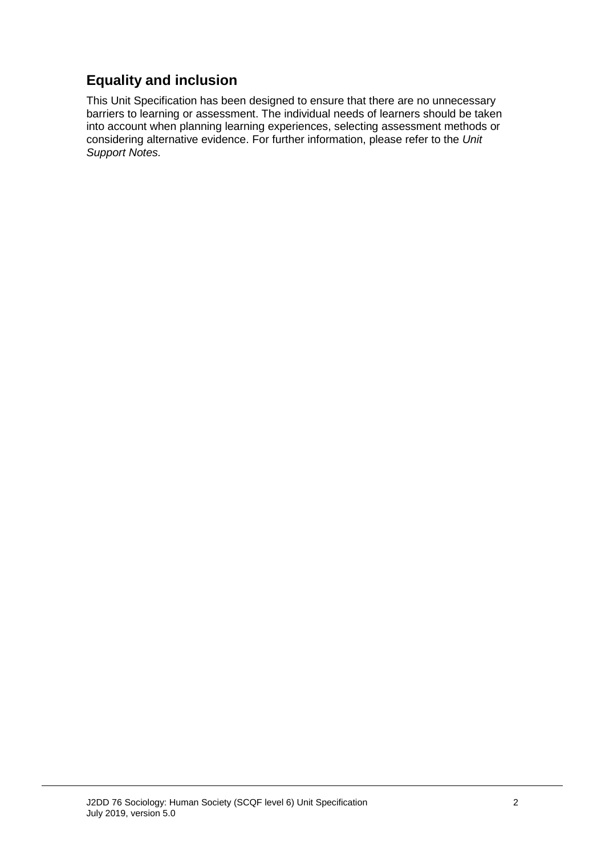### **Equality and inclusion**

This Unit Specification has been designed to ensure that there are no unnecessary barriers to learning or assessment. The individual needs of learners should be taken into account when planning learning experiences, selecting assessment methods or considering alternative evidence. For further information, please refer to the *Unit Support Notes.*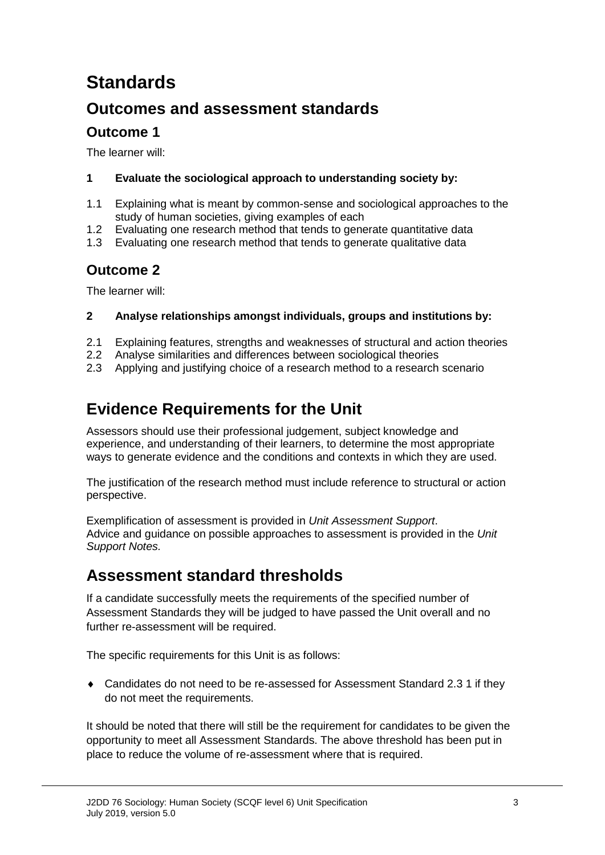# **Standards**

### **Outcomes and assessment standards**

### **Outcome 1**

The learner will:

#### **1 Evaluate the sociological approach to understanding society by:**

- 1.1 Explaining what is meant by common-sense and sociological approaches to the study of human societies, giving examples of each
- 1.2 Evaluating one research method that tends to generate quantitative data
- 1.3 Evaluating one research method that tends to generate qualitative data

### **Outcome 2**

The learner will:

#### **2 Analyse relationships amongst individuals, groups and institutions by:**

- 2.1 Explaining features, strengths and weaknesses of structural and action theories
- 2.2 Analyse similarities and differences between sociological theories
- 2.3 Applying and justifying choice of a research method to a research scenario

## **Evidence Requirements for the Unit**

Assessors should use their professional judgement, subject knowledge and experience, and understanding of their learners, to determine the most appropriate ways to generate evidence and the conditions and contexts in which they are used.

The justification of the research method must include reference to structural or action perspective.

Exemplification of assessment is provided in *Unit Assessment Support*. Advice and guidance on possible approaches to assessment is provided in the *Unit Support Notes.*

### **Assessment standard thresholds**

If a candidate successfully meets the requirements of the specified number of Assessment Standards they will be judged to have passed the Unit overall and no further re-assessment will be required.

The specific requirements for this Unit is as follows:

♦ Candidates do not need to be re-assessed for Assessment Standard 2.3 1 if they do not meet the requirements.

It should be noted that there will still be the requirement for candidates to be given the opportunity to meet all Assessment Standards. The above threshold has been put in place to reduce the volume of re-assessment where that is required.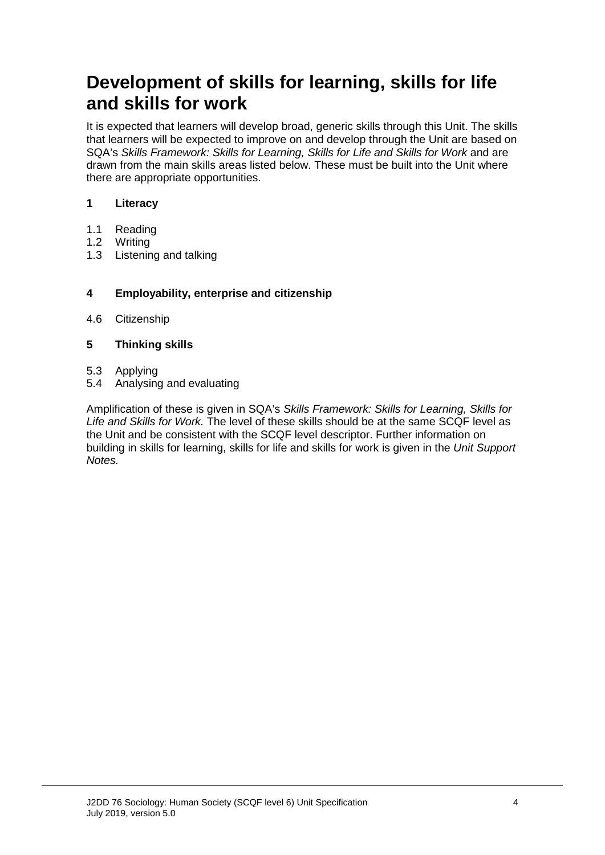# **Development of skills for learning, skills for life and skills for work**

It is expected that learners will develop broad, generic skills through this Unit. The skills that learners will be expected to improve on and develop through the Unit are based on SQA's *Skills Framework: Skills for Learning, Skills for Life and Skills for Work* and are drawn from the main skills areas listed below. These must be built into the Unit where there are appropriate opportunities.

#### **1 Literacy**

- 1.1 Reading<br>1.2 Writing
- 1.2 Writing<br>1.3 Listenin
- Listening and talking

#### **4 Employability, enterprise and citizenship**

4.6 Citizenship

#### **5 Thinking skills**

- 5.3 Applying<br>5.4 Analysing
- 5.4 Analysing and evaluating

Amplification of these is given in SQA's *Skills Framework: Skills for Learning, Skills for Life and Skills for Work.* The level of these skills should be at the same SCQF level as the Unit and be consistent with the SCQF level descriptor. Further information on building in skills for learning, skills for life and skills for work is given in the *Unit Support Notes.*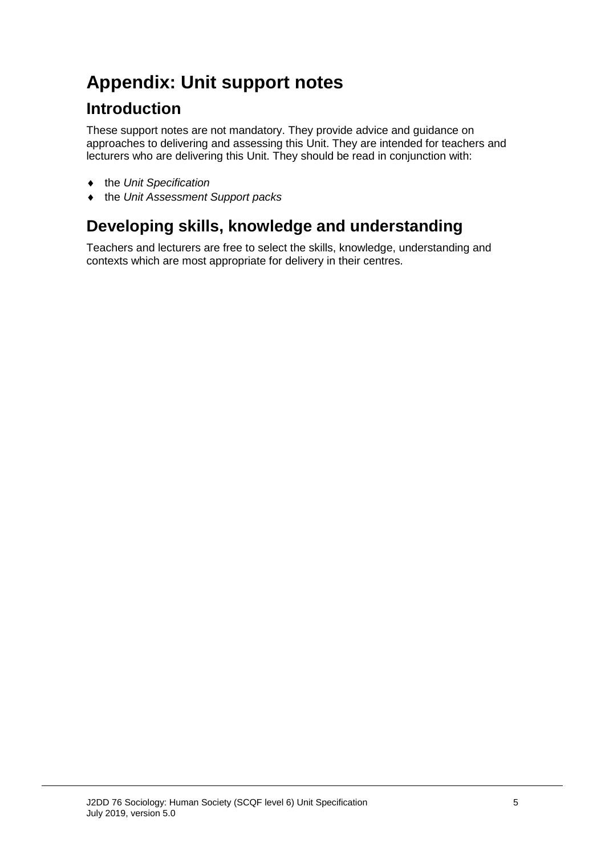# **Appendix: Unit support notes**

### **Introduction**

These support notes are not mandatory. They provide advice and guidance on approaches to delivering and assessing this Unit. They are intended for teachers and lecturers who are delivering this Unit. They should be read in conjunction with:

- ♦ the *Unit Specification*
- ♦ the *Unit Assessment Support packs*

## **Developing skills, knowledge and understanding**

Teachers and lecturers are free to select the skills, knowledge, understanding and contexts which are most appropriate for delivery in their centres.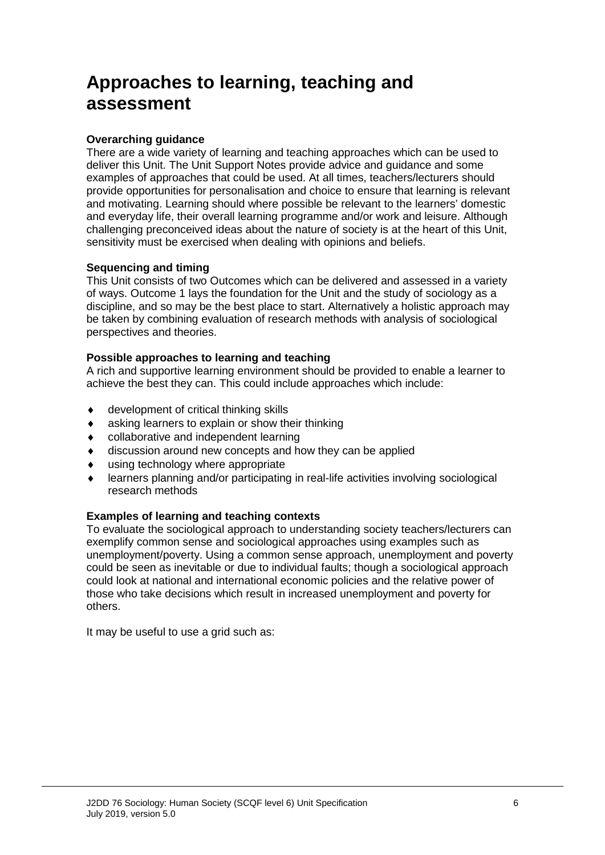# **Approaches to learning, teaching and assessment**

#### **Overarching guidance**

There are a wide variety of learning and teaching approaches which can be used to deliver this Unit. The Unit Support Notes provide advice and guidance and some examples of approaches that could be used. At all times, teachers/lecturers should provide opportunities for personalisation and choice to ensure that learning is relevant and motivating. Learning should where possible be relevant to the learners' domestic and everyday life, their overall learning programme and/or work and leisure. Although challenging preconceived ideas about the nature of society is at the heart of this Unit, sensitivity must be exercised when dealing with opinions and beliefs.

#### **Sequencing and timing**

This Unit consists of two Outcomes which can be delivered and assessed in a variety of ways. Outcome 1 lays the foundation for the Unit and the study of sociology as a discipline, and so may be the best place to start. Alternatively a holistic approach may be taken by combining evaluation of research methods with analysis of sociological perspectives and theories.

#### **Possible approaches to learning and teaching**

A rich and supportive learning environment should be provided to enable a learner to achieve the best they can. This could include approaches which include:

- ♦ development of critical thinking skills
- ♦ asking learners to explain or show their thinking
- ♦ collaborative and independent learning
- ♦ discussion around new concepts and how they can be applied
- ♦ using technology where appropriate
- ♦ learners planning and/or participating in real-life activities involving sociological research methods

#### **Examples of learning and teaching contexts**

To evaluate the sociological approach to understanding society teachers/lecturers can exemplify common sense and sociological approaches using examples such as unemployment/poverty. Using a common sense approach, unemployment and poverty could be seen as inevitable or due to individual faults; though a sociological approach could look at national and international economic policies and the relative power of those who take decisions which result in increased unemployment and poverty for others.

It may be useful to use a grid such as: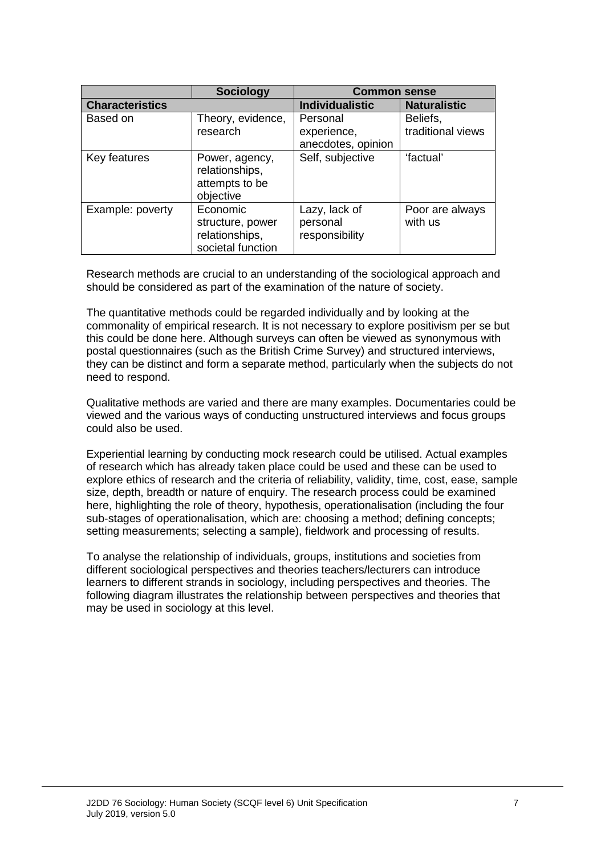|                        | <b>Sociology</b>                                                    | <b>Common sense</b>                           |                               |
|------------------------|---------------------------------------------------------------------|-----------------------------------------------|-------------------------------|
| <b>Characteristics</b> |                                                                     | <b>Individualistic</b>                        | <b>Naturalistic</b>           |
| Based on               | Theory, evidence,<br>research                                       | Personal<br>experience,<br>anecdotes, opinion | Beliefs,<br>traditional views |
| Key features           | Power, agency,<br>relationships,<br>attempts to be<br>objective     | Self, subjective                              | 'factual'                     |
| Example: poverty       | Economic<br>structure, power<br>relationships,<br>societal function | Lazy, lack of<br>personal<br>responsibility   | Poor are always<br>with us    |

Research methods are crucial to an understanding of the sociological approach and should be considered as part of the examination of the nature of society.

The quantitative methods could be regarded individually and by looking at the commonality of empirical research. It is not necessary to explore positivism per se but this could be done here. Although surveys can often be viewed as synonymous with postal questionnaires (such as the British Crime Survey) and structured interviews, they can be distinct and form a separate method, particularly when the subjects do not need to respond.

Qualitative methods are varied and there are many examples. Documentaries could be viewed and the various ways of conducting unstructured interviews and focus groups could also be used.

Experiential learning by conducting mock research could be utilised. Actual examples of research which has already taken place could be used and these can be used to explore ethics of research and the criteria of reliability, validity, time, cost, ease, sample size, depth, breadth or nature of enquiry. The research process could be examined here, highlighting the role of theory, hypothesis, operationalisation (including the four sub-stages of operationalisation, which are: choosing a method; defining concepts; setting measurements; selecting a sample), fieldwork and processing of results.

To analyse the relationship of individuals, groups, institutions and societies from different sociological perspectives and theories teachers/lecturers can introduce learners to different strands in sociology, including perspectives and theories. The following diagram illustrates the relationship between perspectives and theories that may be used in sociology at this level.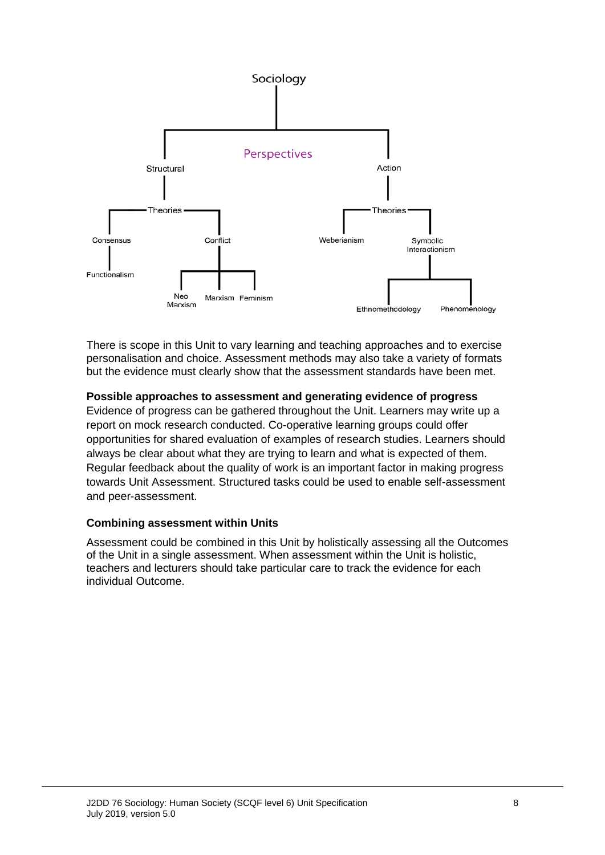

There is scope in this Unit to vary learning and teaching approaches and to exercise personalisation and choice. Assessment methods may also take a variety of formats but the evidence must clearly show that the assessment standards have been met.

#### **Possible approaches to assessment and generating evidence of progress**

Evidence of progress can be gathered throughout the Unit. Learners may write up a report on mock research conducted. Co-operative learning groups could offer opportunities for shared evaluation of examples of research studies. Learners should always be clear about what they are trying to learn and what is expected of them. Regular feedback about the quality of work is an important factor in making progress towards Unit Assessment. Structured tasks could be used to enable self-assessment and peer-assessment.

#### **Combining assessment within Units**

Assessment could be combined in this Unit by holistically assessing all the Outcomes of the Unit in a single assessment. When assessment within the Unit is holistic, teachers and lecturers should take particular care to track the evidence for each individual Outcome.